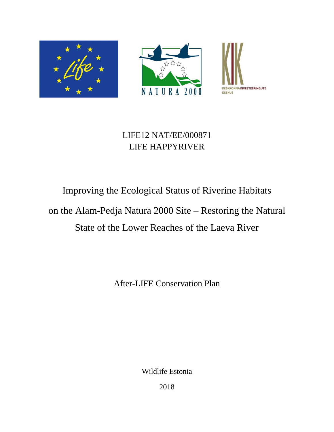





# LIFE12 NAT/EE/000871 LIFE HAPPYRIVER

# Improving the Ecological Status of Riverine Habitats on the Alam-Pedja Natura 2000 Site – Restoring the Natural State of the Lower Reaches of the Laeva River

After-LIFE Conservation Plan

Wildlife Estonia

2018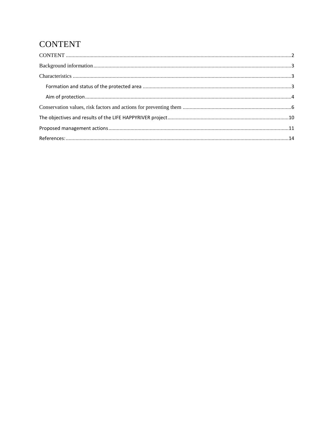# <span id="page-1-0"></span>**CONTENT**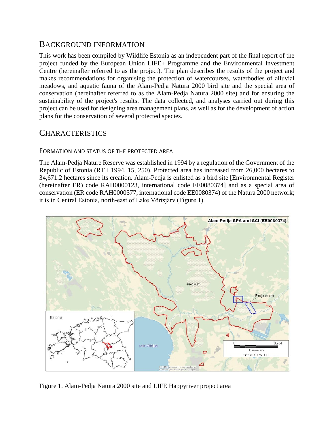### <span id="page-2-0"></span>BACKGROUND INFORMATION

This work has been compiled by Wildlife Estonia as an independent part of the final report of the project funded by the European Union LIFE+ Programme and the Environmental Investment Centre (hereinafter referred to as the project). The plan describes the results of the project and makes recommendations for organising the protection of watercourses, waterbodies of alluvial meadows, and aquatic fauna of the Alam-Pedja Natura 2000 bird site and the special area of conservation (hereinafter referred to as the Alam-Pedja Natura 2000 site) and for ensuring the sustainability of the project's results. The data collected, and analyses carried out during this project can be used for designing area management plans, as well as for the development of action plans for the conservation of several protected species.

## <span id="page-2-1"></span>**CHARACTERISTICS**

#### <span id="page-2-2"></span>FORMATION AND STATUS OF THE PROTECTED AREA

The Alam-Pedja Nature Reserve was established in 1994 by a regulation of the Government of the Republic of Estonia (RT I 1994, 15, 250). Protected area has increased from 26,000 hectares to 34,671.2 hectares since its creation. Alam-Pedja is enlisted as a bird site [Environmental Register (hereinafter ER) code RAH0000123, international code EE0080374] and as a special area of conservation (ER code RAH0000577, international code EE0080374) of the Natura 2000 network; it is in Central Estonia, north-east of Lake Võrtsjärv (Figure 1).



Figure 1. Alam-Pedja Natura 2000 site and LIFE Happyriver project area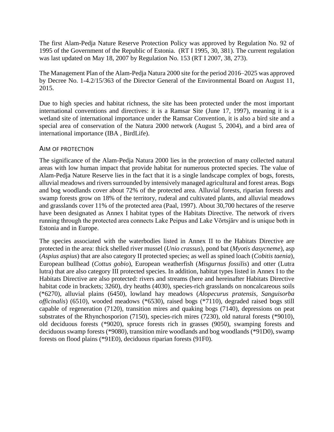The first Alam-Pedja Nature Reserve Protection Policy was approved by Regulation No. 92 of 1995 of the Government of the Republic of Estonia. (RT I 1995, 30, 381). The current regulation was last updated on May 18, 2007 by Regulation No. 153 (RT I 2007, 38, 273).

The Management Plan of the Alam-Pedja Natura 2000 site for the period 2016–2025 was approved by Decree No. 1-4.2/15/363 of the Director General of the Environmental Board on August 11, 2015.

Due to high species and habitat richness, the site has been protected under the most important international conventions and directives: it is a Ramsar Site (June 17, 1997), meaning it is a wetland site of international importance under the Ramsar Convention, it is also a bird site and a special area of conservation of the Natura 2000 network (August 5, 2004), and a bird area of international importance (IBA , BirdLife).

#### <span id="page-3-0"></span>AIM OF PROTECTION

The significance of the Alam-Pedja Natura 2000 lies in the protection of many collected natural areas with low human impact that provide habitat for numerous protected species. The value of Alam-Pedja Nature Reserve lies in the fact that it is a single landscape complex of bogs, forests, alluvial meadows and rivers surrounded by intensively managed agricultural and forest areas. Bogs and bog woodlands cover about 72% of the protected area. Alluvial forests, riparian forests and swamp forests grow on 18% of the territory, ruderal and cultivated plants, and alluvial meadows and grasslands cover 11% of the protected area (Paal, 1997). About 30,700 hectares of the reserve have been designated as Annex I habitat types of the Habitats Directive. The network of rivers running through the protected area connects Lake Peipus and Lake Võrtsjärv and is unique both in Estonia and in Europe.

The species associated with the waterbodies listed in Annex II to the Habitats Directive are protected in the area: thick shelled river mussel (*Unio crassus*), pond bat (*Myotis dasycneme*), asp (*Aspius aspius*) that are also category II protected species; as well as spined loach (*Cobitis taenia*), European bullhead (*Cottus gobio*), European weatherfish (*Misgurnus fossilis*) and otter (Lutra lutra) that are also category III protected species. In addition, habitat types listed in Annex I to the Habitats Directive are also protected: rivers and streams (here and hereinafter Habitats Directive habitat code in brackets; 3260), dry heaths (4030), species-rich grasslands on noncalcareous soils (\*6270), alluvial plains (6450), lowland hay meadows (*Alopecurus pratensis, Sanguisorba officinalis*) (6510), wooded meadows (\*6530), raised bogs (\*7110), degraded raised bogs still capable of regeneration (7120), transition mires and quaking bogs (7140), depressions on peat substrates of the Rhynchosporion (7150), species-rich mires (7230), old natural forests (\*9010), old deciduous forests (\*9020), spruce forests rich in grasses (9050), swamping forests and deciduous swamp forests (\*9080), transition mire woodlands and bog woodlands (\*91D0), swamp forests on flood plains (\*91E0), deciduous riparian forests (91F0).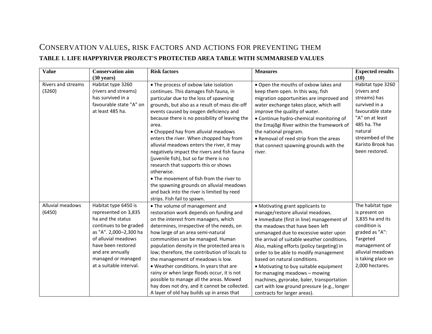# CONSERVATION VALUES, RISK FACTORS AND ACTIONS FOR PREVENTING THEM **TABLE 1. LIFE HAPPYRIVER PROJECT'S PROTECTED AREA TABLE WITH SUMMARISED VALUES**

<span id="page-5-0"></span>

| <b>Value</b>                        | <b>Conservation aim</b><br>$(30 \text{ years})$                                                                                                                                                                                         | <b>Risk factors</b>                                                                                                                                                                                                                                                                                                                                                                                                                                                                                                                                                                                                                                                                                                                 | <b>Measures</b>                                                                                                                                                                                                                                                                                                                                                                                                                                                                                                                                                            | <b>Expected results</b><br>(10)                                                                                                                                                               |
|-------------------------------------|-----------------------------------------------------------------------------------------------------------------------------------------------------------------------------------------------------------------------------------------|-------------------------------------------------------------------------------------------------------------------------------------------------------------------------------------------------------------------------------------------------------------------------------------------------------------------------------------------------------------------------------------------------------------------------------------------------------------------------------------------------------------------------------------------------------------------------------------------------------------------------------------------------------------------------------------------------------------------------------------|----------------------------------------------------------------------------------------------------------------------------------------------------------------------------------------------------------------------------------------------------------------------------------------------------------------------------------------------------------------------------------------------------------------------------------------------------------------------------------------------------------------------------------------------------------------------------|-----------------------------------------------------------------------------------------------------------------------------------------------------------------------------------------------|
| <b>Rivers and streams</b><br>(3260) | Habitat type 3260<br>(rivers and streams)<br>has survived in a<br>favourable state "A" on<br>at least 485 ha.                                                                                                                           | • The process of oxbow lake isolation<br>continues. This damages fish fauna, in<br>particular due to the loss of spawning<br>grounds, but also as a result of mass die-off<br>events caused by oxygen deficiency and<br>because there is no possibility of leaving the<br>area.<br>• Chopped hay from alluvial meadows<br>enters the river. When chopped hay from<br>alluvial meadows enters the river, it may<br>negatively impact the rivers and fish fauna<br>(juvenile fish), but so far there is no<br>research that supports this or shows<br>otherwise.<br>• The movement of fish from the river to<br>the spawning grounds on alluvial meadows<br>and back into the river is limited by reed<br>strips. Fish fail to spawn. | . Open the mouths of oxbow lakes and<br>keep them open. In this way, fish<br>migration opportunities are improved and<br>water exchange takes place, which will<br>improve the quality of water.<br>• Continue hydro-chemical monitoring of<br>the Emajõgi River within the framework of<br>the national program.<br>• Removal of reed strip from the areas<br>that connect spawning grounds with the<br>river.                                                                                                                                                            | Habitat type 3260<br>(rivers and<br>streams) has<br>survived in a<br>favourable state<br>"A" on at least<br>485 ha. The<br>natural<br>streambed of the<br>Karisto Brook has<br>been restored. |
| Alluvial meadows<br>(6450)          | Habitat type 6450 is<br>represented on 3,835<br>ha and the status<br>continues to be graded<br>as "A". 2,000-2,300 ha<br>of alluvial meadows<br>have been restored<br>and are annually<br>managed or managed<br>at a suitable interval. | • The volume of management and<br>restoration work depends on funding and<br>on the interest from managers, which<br>determines, irrespective of the needs, on<br>how large of an area semi-natural<br>communities can be managed. Human<br>population density in the protected area is<br>low; therefore, the contribution of locals to<br>the management of meadows is low.<br>• Weather conditions. In years that are<br>rainy or when large floods occur, it is not<br>possible to manage all the areas. Mowed<br>hay does not dry, and it cannot be collected.<br>A layer of old hay builds up in areas that                                                                                                                   | • Motivating grant applicants to<br>manage/restore alluvial meadows.<br>· Immediate (first in line) management of<br>the meadows that have been left<br>unmanaged due to excessive water upon<br>the arrival of suitable weather conditions.<br>Also, making efforts (policy targeting) in<br>order to be able to modify management<br>based on natural conditions.<br>• Motivating to buy suitable equipment<br>for managing meadows - mowing<br>machines, gyrorake, baler, transportation<br>cart with low ground pressure (e.g., longer<br>contracts for larger areas). | The habitat type<br>is present on<br>3,835 ha and its<br>condition is<br>graded as "A":<br>Targeted<br>management of<br>alluvial meadows<br>is taking place on<br>2,000 hectares.             |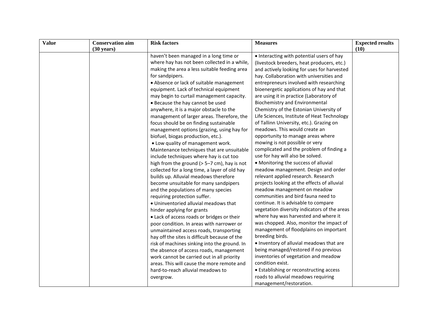| <b>Value</b> | <b>Conservation aim</b> | <b>Risk factors</b>                                                           | <b>Measures</b>                              | <b>Expected results</b> |
|--------------|-------------------------|-------------------------------------------------------------------------------|----------------------------------------------|-------------------------|
|              | $(30 \text{ years})$    |                                                                               |                                              | (10)                    |
|              |                         | haven't been managed in a long time or                                        | • Interacting with potential users of hay    |                         |
|              |                         | where hay has not been collected in a while,                                  | (livestock breeders, heat producers, etc.)   |                         |
|              |                         | making the area a less suitable feeding area                                  | and actively looking for uses for harvested  |                         |
|              |                         | for sandpipers.                                                               | hay. Collaboration with universities and     |                         |
|              |                         | • Absence or lack of suitable management                                      | entrepreneurs involved with researching      |                         |
|              |                         | equipment. Lack of technical equipment                                        | bioenergetic applications of hay and that    |                         |
|              |                         | may begin to curtail management capacity.                                     | are using it in practice (Laboratory of      |                         |
|              |                         | • Because the hay cannot be used                                              | <b>Biochemistry and Environmental</b>        |                         |
|              |                         | anywhere, it is a major obstacle to the                                       | Chemistry of the Estonian University of      |                         |
|              |                         | management of larger areas. Therefore, the                                    | Life Sciences, Institute of Heat Technology  |                         |
|              |                         | focus should be on finding sustainable                                        | of Tallinn University, etc.). Grazing on     |                         |
|              |                         | management options (grazing, using hay for                                    | meadows. This would create an                |                         |
|              |                         | biofuel, biogas production, etc.).                                            | opportunity to manage areas where            |                         |
|              |                         | • Low quality of management work.                                             | mowing is not possible or very               |                         |
|              |                         | Maintenance techniques that are unsuitable                                    | complicated and the problem of finding a     |                         |
|              |                         | include techniques where hay is cut too                                       | use for hay will also be solved.             |                         |
|              |                         | high from the ground $(> 5-7$ cm), hay is not                                 | • Monitoring the success of alluvial         |                         |
|              |                         | collected for a long time, a layer of old hay                                 | meadow management. Design and order          |                         |
|              |                         | builds up. Alluvial meadows therefore                                         | relevant applied research. Research          |                         |
|              |                         | become unsuitable for many sandpipers                                         | projects looking at the effects of alluvial  |                         |
|              |                         | and the populations of many species                                           | meadow management on meadow                  |                         |
|              |                         | communities and bird fauna need to<br>requiring protection suffer.            |                                              |                         |
|              |                         | continue. It is advisable to compare<br>. Uninventoried alluvial meadows that |                                              |                         |
|              |                         | hinder applying for grants                                                    | vegetation diversity indicators of the areas |                         |
|              |                         | • Lack of access roads or bridges or their                                    | where hay was harvested and where it         |                         |
|              |                         | poor condition. In areas with narrower or                                     | was chopped. Also, monitor the impact of     |                         |
|              |                         | unmaintained access roads, transporting                                       | management of floodplains on important       |                         |
|              |                         | hay off the sites is difficult because of the                                 | breeding birds.                              |                         |
|              |                         | risk of machines sinking into the ground. In                                  | . Inventory of alluvial meadows that are     |                         |
|              |                         | the absence of access roads, management                                       | being managed/restored if no previous        |                         |
|              |                         | work cannot be carried out in all priority                                    | inventories of vegetation and meadow         |                         |
|              |                         | areas. This will cause the more remote and                                    | condition exist.                             |                         |
|              |                         | hard-to-reach alluvial meadows to                                             | • Establishing or reconstructing access      |                         |
|              |                         | overgrow.                                                                     | roads to alluvial meadows requiring          |                         |
|              |                         |                                                                               | management/restoration.                      |                         |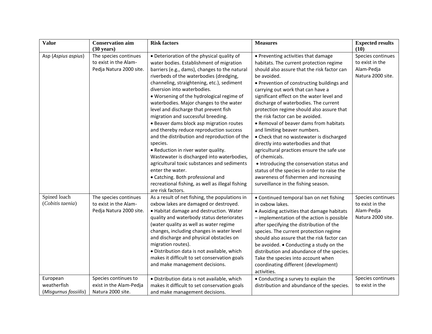| <b>Value</b>                                     | <b>Conservation aim</b><br>$(30 \text{ years})$                           | <b>Risk factors</b>                                                                                                                                                                                                                                                                                                                                                                                                                                                                                                                                                                                                                                                                                                                                                                                                                                             | <b>Measures</b>                                                                                                                                                                                                                                                                                                                                                                                                                                                                                                                                                                                                                                                                                                                                                                                              | <b>Expected results</b><br>(10)                                         |
|--------------------------------------------------|---------------------------------------------------------------------------|-----------------------------------------------------------------------------------------------------------------------------------------------------------------------------------------------------------------------------------------------------------------------------------------------------------------------------------------------------------------------------------------------------------------------------------------------------------------------------------------------------------------------------------------------------------------------------------------------------------------------------------------------------------------------------------------------------------------------------------------------------------------------------------------------------------------------------------------------------------------|--------------------------------------------------------------------------------------------------------------------------------------------------------------------------------------------------------------------------------------------------------------------------------------------------------------------------------------------------------------------------------------------------------------------------------------------------------------------------------------------------------------------------------------------------------------------------------------------------------------------------------------------------------------------------------------------------------------------------------------------------------------------------------------------------------------|-------------------------------------------------------------------------|
| Asp (Aspius aspius)                              | The species continues<br>to exist in the Alam-<br>Pedja Natura 2000 site. | • Deterioration of the physical quality of<br>water bodies. Establishment of migration<br>barriers (e.g., dams), changes to the natural<br>riverbeds of the waterbodies (dredging,<br>channeling, straightening, etc.), sediment<br>diversion into waterbodies.<br>. Worsening of the hydrological regime of<br>waterbodies. Major changes to the water<br>level and discharge that prevent fish<br>migration and successful breeding.<br>• Beaver dams block asp migration routes<br>and thereby reduce reproduction success<br>and the distribution and reproduction of the<br>species.<br>• Reduction in river water quality.<br>Wastewater is discharged into waterbodies,<br>agricultural toxic substances and sediments<br>enter the water.<br>• Catching. Both professional and<br>recreational fishing, as well as illegal fishing<br>are risk factors. | • Preventing activities that damage<br>habitats. The current protection regime<br>should also assure that the risk factor can<br>be avoided.<br>• Prevention of constructing buildings and<br>carrying out work that can have a<br>significant effect on the water level and<br>discharge of waterbodies. The current<br>protection regime should also assure that<br>the risk factor can be avoided.<br>• Removal of beaver dams from habitats<br>and limiting beaver numbers.<br>• Check that no wastewater is discharged<br>directly into waterbodies and that<br>agricultural practices ensure the safe use<br>of chemicals.<br>• Introducing the conservation status and<br>status of the species in order to raise the<br>awareness of fishermen and increasing<br>surveillance in the fishing season. | Species continues<br>to exist in the<br>Alam-Pedja<br>Natura 2000 site. |
| Spined loach<br>(Cobitis taenia)                 | The species continues<br>to exist in the Alam-<br>Pedja Natura 2000 site. | As a result of net fishing, the populations in<br>oxbow lakes are damaged or destroyed.<br>. Habitat damage and destruction. Water<br>quality and waterbody status deteriorates<br>(water quality as well as water regime<br>changes, including changes in water level<br>and discharge and physical obstacles on<br>migration routes).<br>· Distribution data is not available, which<br>makes it difficult to set conservation goals<br>and make management decisions.                                                                                                                                                                                                                                                                                                                                                                                        | • Continued temporal ban on net fishing<br>in oxbow lakes.<br>• Avoiding activities that damage habitats<br>- implementation of the action is possible<br>after specifying the distribution of the<br>species. The current protection regime<br>should also assure that the risk factor can<br>be avoided. • Conducting a study on the<br>distribution and abundance of the species.<br>Take the species into account when<br>coordinating different (development)<br>activities.                                                                                                                                                                                                                                                                                                                            | Species continues<br>to exist in the<br>Alam-Pedja<br>Natura 2000 site. |
| European<br>weatherfish<br>(Misgurnus fossiilis) | Species continues to<br>exist in the Alam-Pedja<br>Natura 2000 site.      | · Distribution data is not available, which<br>makes it difficult to set conservation goals<br>and make management decisions.                                                                                                                                                                                                                                                                                                                                                                                                                                                                                                                                                                                                                                                                                                                                   | • Conducting a survey to explain the<br>distribution and abundance of the species.                                                                                                                                                                                                                                                                                                                                                                                                                                                                                                                                                                                                                                                                                                                           | Species continues<br>to exist in the                                    |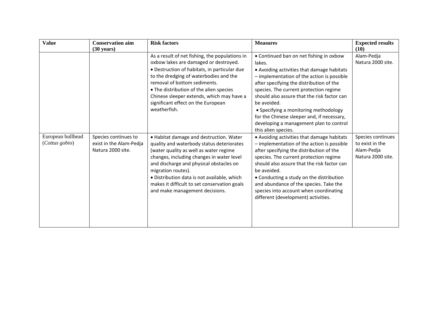| <b>Value</b>                        | <b>Conservation aim</b><br>$(30 \text{ years})$                      | <b>Risk factors</b>                                                                                                                                                                                                                                                                                                                                                           | <b>Measures</b>                                                                                                                                                                                                                                                                                                                                                                                                                                            | <b>Expected results</b><br>(10)                                         |
|-------------------------------------|----------------------------------------------------------------------|-------------------------------------------------------------------------------------------------------------------------------------------------------------------------------------------------------------------------------------------------------------------------------------------------------------------------------------------------------------------------------|------------------------------------------------------------------------------------------------------------------------------------------------------------------------------------------------------------------------------------------------------------------------------------------------------------------------------------------------------------------------------------------------------------------------------------------------------------|-------------------------------------------------------------------------|
|                                     |                                                                      | As a result of net fishing, the populations in<br>oxbow lakes are damaged or destroyed.<br>• Destruction of habitats, in particular due<br>to the dredging of waterbodies and the<br>removal of bottom sediments.<br>• The distribution of the alien species<br>Chinese sleeper extends, which may have a<br>significant effect on the European<br>weatherfish.               | • Continued ban on net fishing in oxbow<br>lakes.<br>• Avoiding activities that damage habitats<br>- implementation of the action is possible<br>after specifying the distribution of the<br>species. The current protection regime<br>should also assure that the risk factor can<br>be avoided.<br>• Specifying a monitoring methodology<br>for the Chinese sleeper and, if necessary,<br>developing a management plan to control<br>this alien species. | Alam-Pedja<br>Natura 2000 site.                                         |
| European bullhead<br>(Cottus gobio) | Species continues to<br>exist in the Alam-Pedja<br>Natura 2000 site. | . Habitat damage and destruction. Water<br>quality and waterbody status deteriorates<br>(water quality as well as water regime<br>changes, including changes in water level<br>and discharge and physical obstacles on<br>migration routes).<br>• Distribution data is not available, which<br>makes it difficult to set conservation goals<br>and make management decisions. | • Avoiding activities that damage habitats<br>- implementation of the action is possible<br>after specifying the distribution of the<br>species. The current protection regime<br>should also assure that the risk factor can<br>be avoided.<br>• Conducting a study on the distribution<br>and abundance of the species. Take the<br>species into account when coordinating<br>different (development) activities.                                        | Species continues<br>to exist in the<br>Alam-Pedja<br>Natura 2000 site. |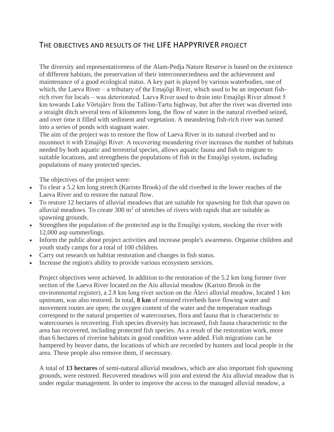## <span id="page-9-0"></span>THE OBJECTIVES AND RESULTS OF THE LIFE HAPPYRIVER PROJECT

The diversity and representativeness of the Alam-Pedja Nature Reserve is based on the existence of different habitats, the preservation of their interconnectedness and the achievement and maintenance of a good ecological status. A key part is played by various waterbodies, one of which, the Laeva River – a tributary of the Emajõgi River, which used to be an important fishrich river for locals – was deteriorated. Laeva River used to drain into Emajõgi River almost 5 km towards Lake Võrtsjärv from the Tallinn-Tartu highway, but after the river was diverted into a straight ditch several tens of kilometres long, the flow of water in the natural riverbed seized, and over time it filled with sediment and vegetation. A meandering fish-rich river was turned into a series of ponds with stagnant water.

The aim of the project was to restore the flow of Laeva River in its natural riverbed and to reconnect it with Emajõgi River. A recovering meandering river increases the number of habitats needed by both aquatic and terrestrial species, allows aquatic fauna and fish to migrate to suitable locations, and strengthens the populations of fish in the Emajõgi system, including populations of many protected species.

The objectives of the project were:

- To clear a 5.2 km long stretch (Karisto Brook) of the old riverbed in the lower reaches of the Laeva River and to restore the natural flow.
- To restore 12 hectares of alluvial meadows that are suitable for spawning for fish that spawn on alluvial meadows. To create  $300 \text{ m}^2$  of stretches of rivers with rapids that are suitable as spawning grounds.
- Strengthen the population of the protected asp in the Emajõgi system, stocking the river with 12,000 asp summerlings.
- Inform the public about project activities and increase people's awareness. Organise children and youth study camps for a total of 100 children.
- Carry out research on habitat restoration and changes in fish status.
- Increase the region's ability to provide various ecosystem services.

Project objectives were achieved. In addition to the restoration of the 5.2 km long former river section of the Laeva River located on the Aiu alluvial meadow (Karisto Brook in the environmental register), a 2.8 km long river section on the Älevi alluvial meadow, located 1 km upstream, was also restored. In total, **8 km** of restored riverbeds have flowing water and movement routes are open; the oxygen content of the water and the temperature readings correspond to the natural properties of watercourses, flora and fauna that is characteristic to watercourses is recovering. Fish species diversity has increased, fish fauna characteristic to the area has recovered, including protected fish species. As a result of the restoration work, more than 6 hectares of riverine habitats in good condition were added. Fish migrations can be hampered by beaver dams, the locations of which are recorded by hunters and local people in the area. These people also remove them, if necessary.

A total of **13 hectares** of semi-natural alluvial meadows, which are also important fish spawning grounds, were restored. Recovered meadows will join and extend the Aiu alluvial meadow that is under regular management. In order to improve the access to the managed alluvial meadow, a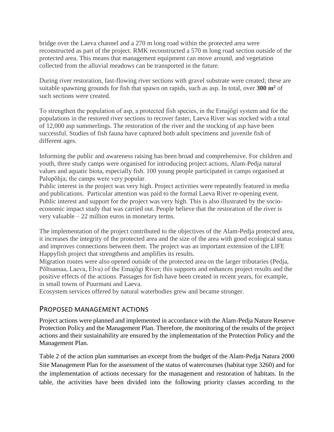bridge over the Laeva channel and a 270 m long road within the protected area were reconstructed as part of the project. RMK reconstructed a 570 m long road section outside of the protected area. This means that management equipment can move around, and vegetation collected from the alluvial meadows can be transported in the future.

During river restoration, fast-flowing river sections with gravel substrate were created; these are suitable spawning grounds for fish that spawn on rapids, such as asp. In total, over **300 m<sup>2</sup>** of such sections were created.

To strengthen the population of asp, a protected fish species, in the Emajõgi system and for the populations in the restored river sections to recover faster, Laeva River was stocked with a total of 12,000 asp summerlings. The restoration of the river and the stocking of asp have been successful. Studies of fish fauna have captured both adult specimens and juvenile fish of different ages.

Informing the public and awareness raising has been broad and comprehensive. For children and youth, three study camps were organised for introducing project actions, Alam-Pedja natural values and aquatic biota, especially fish. 100 young people participated in camps organised at Palupõhja; the camps were very popular.

Public interest in the project was very high. Project activities were repeatedly featured in media and publications. Particular attention was paid to the formal Laeva River re-opening event. Public interest and support for the project was very high. This is also illustrated by the socioeconomic impact study that was carried out. People believe that the restoration of the river is very valuable – 22 million euros in monetary terms.

The implementation of the project contributed to the objectives of the Alam-Pedja protected area, it increases the integrity of the protected area and the size of the area with good ecological status and improves connections between them. The project was an important extension of the LIFE Happyfish project that strengthens and amplifies its results.

Migration routes were also opened outside of the protected area on the larger tributaries (Pedja, Põltsamaa, Laeva, Elva) of the Emajõgi River; this supports and enhances project results and the positive effects of the actions. Passages for fish have been created in recent years, for example, in small towns of Puurmani and Laeva.

<span id="page-10-0"></span>Ecosystem services offered by natural waterbodies grew and became stronger.

#### PROPOSED MANAGEMENT ACTIONS

Project actions were planned and implemented in accordance with the Alam-Pedja Nature Reserve Protection Policy and the Management Plan. Therefore, the monitoring of the results of the project actions and their sustainability are ensured by the implementation of the Protection Policy and the Management Plan.

Table 2 of the action plan summarises an excerpt from the budget of the Alam-Pedja Natura 2000 Site Management Plan for the assessment of the status of watercourses (habitat type 3260) and for the implementation of actions necessary for the management and restoration of habitats. In the table, the activities have been divided into the following priority classes according to the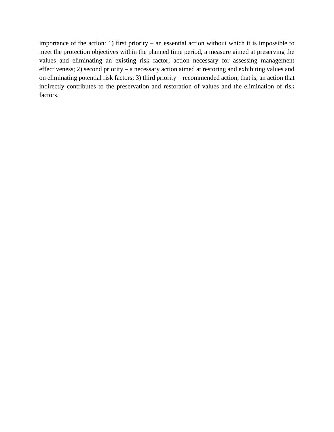importance of the action: 1) first priority – an essential action without which it is impossible to meet the protection objectives within the planned time period, a measure aimed at preserving the values and eliminating an existing risk factor; action necessary for assessing management effectiveness; 2) second priority – a necessary action aimed at restoring and exhibiting values and on eliminating potential risk factors; 3) third priority – recommended action, that is, an action that indirectly contributes to the preservation and restoration of values and the elimination of risk factors.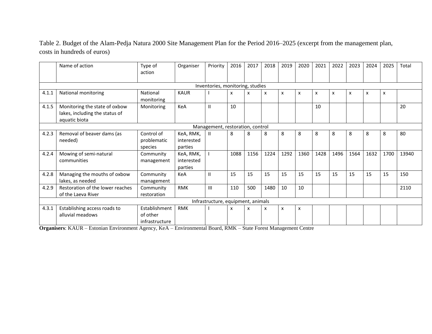Table 2. Budget of the Alam-Pedja Natura 2000 Site Management Plan for the Period 2016–2025 (excerpt from the management plan, costs in hundreds of euros)

|                                    | Name of action                                                                   | Type of<br>action                           | Organiser                          | Priority                         | 2016                      | 2017 | 2018                      | 2019                      | 2020 | 2021 | 2022                      | 2023 | 2024 | 2025 | Total |
|------------------------------------|----------------------------------------------------------------------------------|---------------------------------------------|------------------------------------|----------------------------------|---------------------------|------|---------------------------|---------------------------|------|------|---------------------------|------|------|------|-------|
|                                    |                                                                                  |                                             |                                    | Inventories, monitoring, studies |                           |      |                           |                           |      |      |                           |      |      |      |       |
| 4.1.1                              | National monitoring                                                              | National<br>monitoring                      | <b>KAUR</b>                        |                                  | $\boldsymbol{\mathsf{x}}$ | X    | $\boldsymbol{\mathsf{x}}$ | $\boldsymbol{\mathsf{x}}$ | X    | X    | $\boldsymbol{\mathsf{x}}$ | x    | X    | X    |       |
| 4.1.5                              | Monitoring the state of oxbow<br>lakes, including the status of<br>aquatic biota | Monitoring                                  | KeA                                |                                  | 10                        |      |                           |                           |      | 10   |                           |      |      |      | 20    |
|                                    |                                                                                  |                                             |                                    | Management, restoration, control |                           |      |                           |                           |      |      |                           |      |      |      |       |
| 4.2.3                              | Removal of beaver dams (as<br>needed)                                            | Control of<br>problematic<br>species        | KeA, RMK,<br>interested<br>parties |                                  | 8                         | 8    | 8                         | 8                         | 8    | 8    | 8                         | 8    | 8    | 8    | 80    |
| 4.2.4                              | Mowing of semi-natural<br>communities                                            | Community<br>management                     | KeA, RMK,<br>interested<br>parties |                                  | 1088                      | 1156 | 1224                      | 1292                      | 1360 | 1428 | 1496                      | 1564 | 1632 | 1700 | 13940 |
| 4.2.8                              | Managing the mouths of oxbow<br>lakes, as needed                                 | Community<br>management                     | KeA                                |                                  | 15                        | 15   | 15                        | 15                        | 15   | 15   | 15                        | 15   | 15   | 15   | 150   |
| 4.2.9                              | Restoration of the lower reaches<br>of the Laeva River                           | Community<br>restoration                    | <b>RMK</b>                         | $\mathbf{H}$                     | 110                       | 500  | 1480                      | 10                        | 10   |      |                           |      |      |      | 2110  |
| Infrastructure, equipment, animals |                                                                                  |                                             |                                    |                                  |                           |      |                           |                           |      |      |                           |      |      |      |       |
| 4.3.1                              | Establishing access roads to<br>alluvial meadows                                 | Establishment<br>of other<br>infrastructure | <b>RMK</b>                         |                                  | X                         | x    | x                         | x                         | x    |      |                           |      |      |      |       |

**Organisers**: KAUR – Estonian Environment Agency, KeA – Environmental Board, RMK – State Forest Management Centre